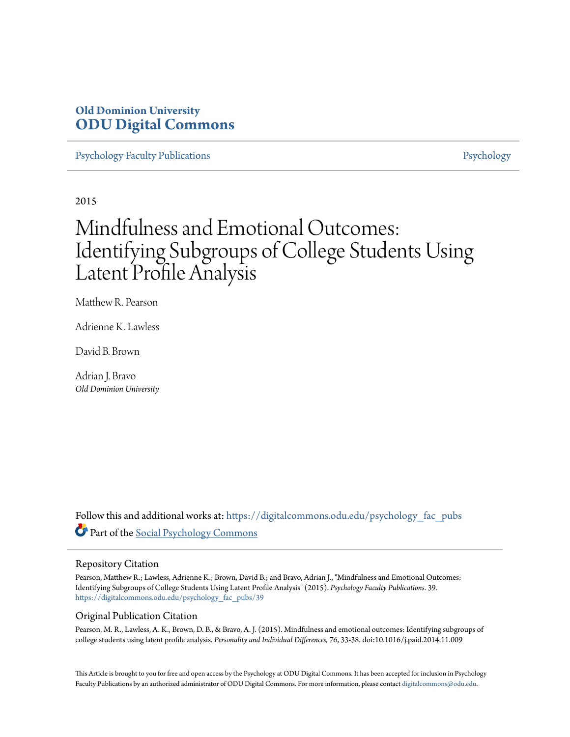### **Old Dominion University [ODU Digital Commons](https://digitalcommons.odu.edu?utm_source=digitalcommons.odu.edu%2Fpsychology_fac_pubs%2F39&utm_medium=PDF&utm_campaign=PDFCoverPages)**

[Psychology Faculty Publications](https://digitalcommons.odu.edu/psychology_fac_pubs?utm_source=digitalcommons.odu.edu%2Fpsychology_fac_pubs%2F39&utm_medium=PDF&utm_campaign=PDFCoverPages) **[Psychology](https://digitalcommons.odu.edu/psychology?utm_source=digitalcommons.odu.edu%2Fpsychology_fac_pubs%2F39&utm_medium=PDF&utm_campaign=PDFCoverPages)** Psychology

2015

## Mindfulness and Emotional Outcomes: Identifying Subgroups of College Students Using Latent Profile Analysis

Matthew R. Pearson

Adrienne K. Lawless

David B. Brown

Adrian J. Bravo *Old Dominion University*

Follow this and additional works at: [https://digitalcommons.odu.edu/psychology\\_fac\\_pubs](https://digitalcommons.odu.edu/psychology_fac_pubs?utm_source=digitalcommons.odu.edu%2Fpsychology_fac_pubs%2F39&utm_medium=PDF&utm_campaign=PDFCoverPages) Part of the [Social Psychology Commons](http://network.bepress.com/hgg/discipline/414?utm_source=digitalcommons.odu.edu%2Fpsychology_fac_pubs%2F39&utm_medium=PDF&utm_campaign=PDFCoverPages)

#### Repository Citation

Pearson, Matthew R.; Lawless, Adrienne K.; Brown, David B.; and Bravo, Adrian J., "Mindfulness and Emotional Outcomes: Identifying Subgroups of College Students Using Latent Profile Analysis" (2015). *Psychology Faculty Publications*. 39. [https://digitalcommons.odu.edu/psychology\\_fac\\_pubs/39](https://digitalcommons.odu.edu/psychology_fac_pubs/39?utm_source=digitalcommons.odu.edu%2Fpsychology_fac_pubs%2F39&utm_medium=PDF&utm_campaign=PDFCoverPages)

#### Original Publication Citation

Pearson, M. R., Lawless, A. K., Brown, D. B., & Bravo, A. J. (2015). Mindfulness and emotional outcomes: Identifying subgroups of college students using latent profile analysis. *Personality and Individual Differences, 76*, 33-38. doi:10.1016/j.paid.2014.11.009

This Article is brought to you for free and open access by the Psychology at ODU Digital Commons. It has been accepted for inclusion in Psychology Faculty Publications by an authorized administrator of ODU Digital Commons. For more information, please contact [digitalcommons@odu.edu.](mailto:digitalcommons@odu.edu)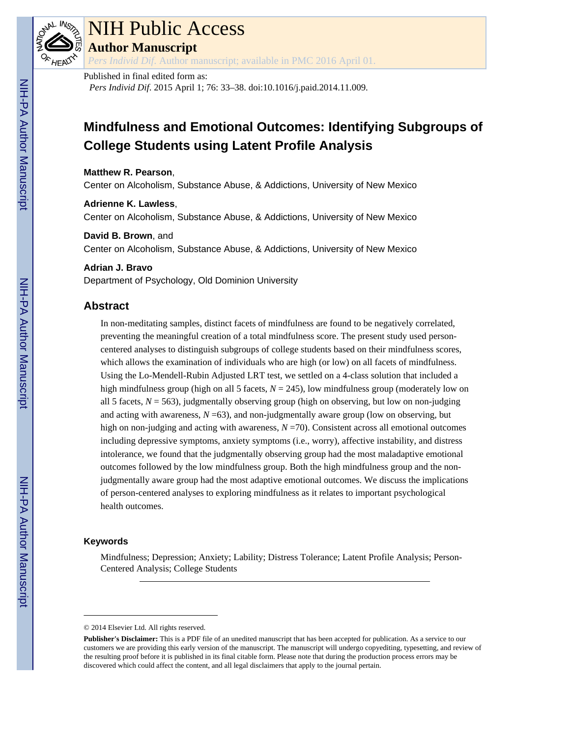

# NIH Public Access

**Author Manuscript**

*Pers Individ Dif*. Author manuscript; available in PMC 2016 April 01.

#### Published in final edited form as:

*Pers Individ Dif*. 2015 April 1; 76: 33–38. doi:10.1016/j.paid.2014.11.009.

## **Mindfulness and Emotional Outcomes: Identifying Subgroups of College Students using Latent Profile Analysis**

**Matthew R. Pearson**, Center on Alcoholism, Substance Abuse, & Addictions, University of New Mexico

**Adrienne K. Lawless**, Center on Alcoholism, Substance Abuse, & Addictions, University of New Mexico

#### **David B. Brown**, and

Center on Alcoholism, Substance Abuse, & Addictions, University of New Mexico

#### **Adrian J. Bravo**

Department of Psychology, Old Dominion University

#### **Abstract**

In non-meditating samples, distinct facets of mindfulness are found to be negatively correlated, preventing the meaningful creation of a total mindfulness score. The present study used personcentered analyses to distinguish subgroups of college students based on their mindfulness scores, which allows the examination of individuals who are high (or low) on all facets of mindfulness. Using the Lo-Mendell-Rubin Adjusted LRT test, we settled on a 4-class solution that included a high mindfulness group (high on all 5 facets,  $N = 245$ ), low mindfulness group (moderately low on all 5 facets,  $N = 563$ ), judgmentally observing group (high on observing, but low on non-judging and acting with awareness,  $N = 63$ ), and non-judgmentally aware group (low on observing, but high on non-judging and acting with awareness,  $N = 70$ ). Consistent across all emotional outcomes including depressive symptoms, anxiety symptoms (i.e., worry), affective instability, and distress intolerance, we found that the judgmentally observing group had the most maladaptive emotional outcomes followed by the low mindfulness group. Both the high mindfulness group and the nonjudgmentally aware group had the most adaptive emotional outcomes. We discuss the implications of person-centered analyses to exploring mindfulness as it relates to important psychological health outcomes.

#### **Keywords**

Mindfulness; Depression; Anxiety; Lability; Distress Tolerance; Latent Profile Analysis; Person-Centered Analysis; College Students

<sup>© 2014</sup> Elsevier Ltd. All rights reserved.

**Publisher's Disclaimer:** This is a PDF file of an unedited manuscript that has been accepted for publication. As a service to our customers we are providing this early version of the manuscript. The manuscript will undergo copyediting, typesetting, and review of the resulting proof before it is published in its final citable form. Please note that during the production process errors may be discovered which could affect the content, and all legal disclaimers that apply to the journal pertain.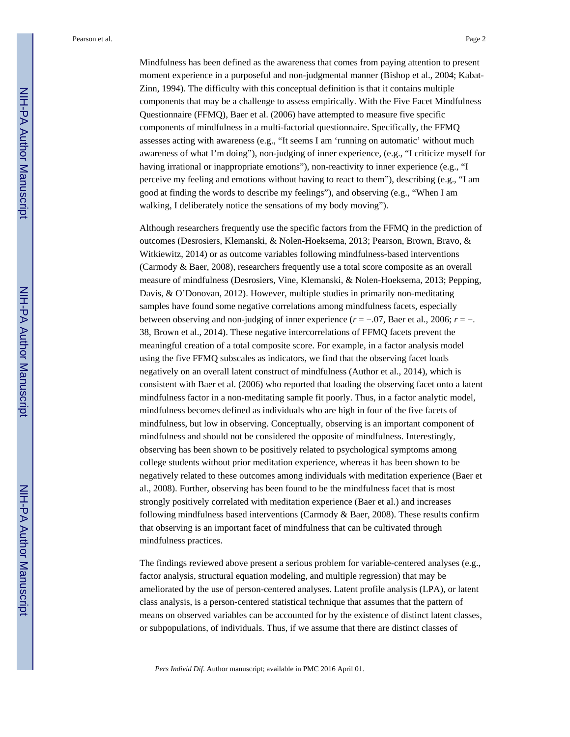Mindfulness has been defined as the awareness that comes from paying attention to present moment experience in a purposeful and non-judgmental manner (Bishop et al., 2004; Kabat-Zinn, 1994). The difficulty with this conceptual definition is that it contains multiple components that may be a challenge to assess empirically. With the Five Facet Mindfulness Questionnaire (FFMQ), Baer et al. (2006) have attempted to measure five specific components of mindfulness in a multi-factorial questionnaire. Specifically, the FFMQ assesses acting with awareness (e.g., "It seems I am 'running on automatic' without much awareness of what I'm doing"), non-judging of inner experience, (e.g., "I criticize myself for having irrational or inappropriate emotions"), non-reactivity to inner experience (e.g., "I perceive my feeling and emotions without having to react to them"), describing (e.g., "I am good at finding the words to describe my feelings"), and observing (e.g., "When I am walking, I deliberately notice the sensations of my body moving").

Although researchers frequently use the specific factors from the FFMQ in the prediction of outcomes (Desrosiers, Klemanski, & Nolen-Hoeksema, 2013; Pearson, Brown, Bravo, & Witkiewitz, 2014) or as outcome variables following mindfulness-based interventions (Carmody & Baer, 2008), researchers frequently use a total score composite as an overall measure of mindfulness (Desrosiers, Vine, Klemanski, & Nolen-Hoeksema, 2013; Pepping, Davis, & O'Donovan, 2012). However, multiple studies in primarily non-meditating samples have found some negative correlations among mindfulness facets, especially between observing and non-judging of inner experience  $(r = -0.07)$ , Baer et al., 2006;  $r = -0.7$ . 38, Brown et al., 2014). These negative intercorrelations of FFMQ facets prevent the meaningful creation of a total composite score. For example, in a factor analysis model using the five FFMQ subscales as indicators, we find that the observing facet loads negatively on an overall latent construct of mindfulness (Author et al., 2014), which is consistent with Baer et al. (2006) who reported that loading the observing facet onto a latent mindfulness factor in a non-meditating sample fit poorly. Thus, in a factor analytic model, mindfulness becomes defined as individuals who are high in four of the five facets of mindfulness, but low in observing. Conceptually, observing is an important component of mindfulness and should not be considered the opposite of mindfulness. Interestingly, observing has been shown to be positively related to psychological symptoms among college students without prior meditation experience, whereas it has been shown to be negatively related to these outcomes among individuals with meditation experience (Baer et al., 2008). Further, observing has been found to be the mindfulness facet that is most strongly positively correlated with meditation experience (Baer et al.) and increases following mindfulness based interventions (Carmody  $\&$  Baer, 2008). These results confirm that observing is an important facet of mindfulness that can be cultivated through mindfulness practices.

The findings reviewed above present a serious problem for variable-centered analyses (e.g., factor analysis, structural equation modeling, and multiple regression) that may be ameliorated by the use of person-centered analyses. Latent profile analysis (LPA), or latent class analysis, is a person-centered statistical technique that assumes that the pattern of means on observed variables can be accounted for by the existence of distinct latent classes, or subpopulations, of individuals. Thus, if we assume that there are distinct classes of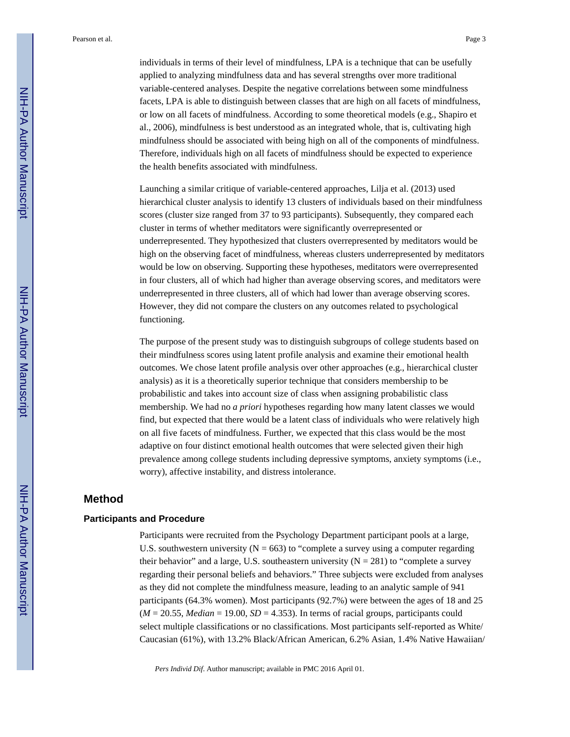individuals in terms of their level of mindfulness, LPA is a technique that can be usefully applied to analyzing mindfulness data and has several strengths over more traditional variable-centered analyses. Despite the negative correlations between some mindfulness facets, LPA is able to distinguish between classes that are high on all facets of mindfulness, or low on all facets of mindfulness. According to some theoretical models (e.g., Shapiro et al., 2006), mindfulness is best understood as an integrated whole, that is, cultivating high mindfulness should be associated with being high on all of the components of mindfulness. Therefore, individuals high on all facets of mindfulness should be expected to experience the health benefits associated with mindfulness.

Launching a similar critique of variable-centered approaches, Lilja et al. (2013) used hierarchical cluster analysis to identify 13 clusters of individuals based on their mindfulness scores (cluster size ranged from 37 to 93 participants). Subsequently, they compared each cluster in terms of whether meditators were significantly overrepresented or underrepresented. They hypothesized that clusters overrepresented by meditators would be high on the observing facet of mindfulness, whereas clusters underrepresented by meditators would be low on observing. Supporting these hypotheses, meditators were overrepresented in four clusters, all of which had higher than average observing scores, and meditators were underrepresented in three clusters, all of which had lower than average observing scores. However, they did not compare the clusters on any outcomes related to psychological functioning.

The purpose of the present study was to distinguish subgroups of college students based on their mindfulness scores using latent profile analysis and examine their emotional health outcomes. We chose latent profile analysis over other approaches (e.g., hierarchical cluster analysis) as it is a theoretically superior technique that considers membership to be probabilistic and takes into account size of class when assigning probabilistic class membership. We had no *a priori* hypotheses regarding how many latent classes we would find, but expected that there would be a latent class of individuals who were relatively high on all five facets of mindfulness. Further, we expected that this class would be the most adaptive on four distinct emotional health outcomes that were selected given their high prevalence among college students including depressive symptoms, anxiety symptoms (i.e., worry), affective instability, and distress intolerance.

#### **Method**

#### **Participants and Procedure**

Participants were recruited from the Psychology Department participant pools at a large, U.S. southwestern university ( $N = 663$ ) to "complete a survey using a computer regarding their behavior" and a large, U.S. southeastern university  $(N = 281)$  to "complete a survey" regarding their personal beliefs and behaviors." Three subjects were excluded from analyses as they did not complete the mindfulness measure, leading to an analytic sample of 941 participants (64.3% women). Most participants (92.7%) were between the ages of 18 and 25  $(M = 20.55, Median = 19.00, SD = 4.353)$ . In terms of racial groups, participants could select multiple classifications or no classifications. Most participants self-reported as White/ Caucasian (61%), with 13.2% Black/African American, 6.2% Asian, 1.4% Native Hawaiian/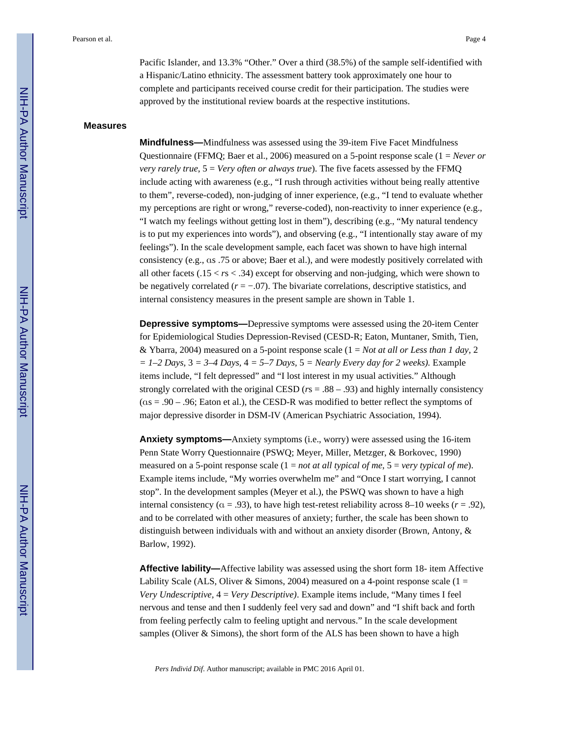Pacific Islander, and 13.3% "Other." Over a third (38.5%) of the sample self-identified with a Hispanic/Latino ethnicity. The assessment battery took approximately one hour to complete and participants received course credit for their participation. The studies were approved by the institutional review boards at the respective institutions.

#### **Measures**

**Mindfulness—**Mindfulness was assessed using the 39-item Five Facet Mindfulness Questionnaire (FFMQ; Baer et al., 2006) measured on a 5-point response scale (1 = *Never or very rarely true*, 5 = *Very often or always true*). The five facets assessed by the FFMQ include acting with awareness (e.g., "I rush through activities without being really attentive to them", reverse-coded), non-judging of inner experience, (e.g., "I tend to evaluate whether my perceptions are right or wrong," reverse-coded), non-reactivity to inner experience (e.g., "I watch my feelings without getting lost in them"), describing (e.g., "My natural tendency is to put my experiences into words"), and observing (e.g., "I intentionally stay aware of my feelings"). In the scale development sample, each facet was shown to have high internal consistency (e.g., αs .75 or above; Baer et al.), and were modestly positively correlated with all other facets  $(.15 < r s < .34)$  except for observing and non-judging, which were shown to be negatively correlated (*r* = −.07). The bivariate correlations, descriptive statistics, and internal consistency measures in the present sample are shown in Table 1.

**Depressive symptoms—**Depressive symptoms were assessed using the 20-item Center for Epidemiological Studies Depression-Revised (CESD-R; Eaton, Muntaner, Smith, Tien, & Ybarra, 2004) measured on a 5-point response scale (1 = *Not at all or Less than 1 day,* 2  $= 1-2$  Days,  $3 = 3-4$  Days,  $4 = 5-7$  Days,  $5 =$  *Nearly Every day for 2 weeks*). Example items include, "I felt depressed" and "I lost interest in my usual activities." Although strongly correlated with the original CESD (*r*s = .88 – .93) and highly internally consistency (αs = .90 – .96; Eaton et al.), the CESD-R was modified to better reflect the symptoms of major depressive disorder in DSM-IV (American Psychiatric Association, 1994).

**Anxiety symptoms—**Anxiety symptoms (i.e., worry) were assessed using the 16-item Penn State Worry Questionnaire (PSWQ; Meyer, Miller, Metzger, & Borkovec, 1990) measured on a 5-point response scale (1 = *not at all typical of me*, 5 = *very typical of me*). Example items include, "My worries overwhelm me" and "Once I start worrying, I cannot stop". In the development samples (Meyer et al.), the PSWQ was shown to have a high internal consistency ( $\alpha = .93$ ), to have high test-retest reliability across 8–10 weeks ( $r = .92$ ), and to be correlated with other measures of anxiety; further, the scale has been shown to distinguish between individuals with and without an anxiety disorder (Brown, Antony, & Barlow, 1992).

**Affective lability—**Affective lability was assessed using the short form 18- item Affective Lability Scale (ALS, Oliver & Simons, 2004) measured on a 4-point response scale ( $1 =$ *Very Undescriptive,* 4 = *Very Descriptive)*. Example items include, "Many times I feel nervous and tense and then I suddenly feel very sad and down" and "I shift back and forth from feeling perfectly calm to feeling uptight and nervous." In the scale development samples (Oliver & Simons), the short form of the ALS has been shown to have a high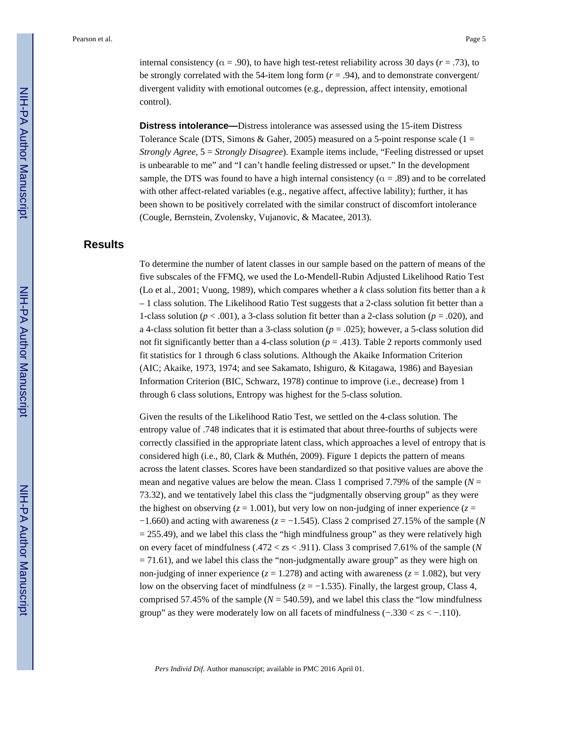internal consistency ( $\alpha = .90$ ), to have high test-retest reliability across 30 days ( $r = .73$ ), to be strongly correlated with the 54-item long form  $(r = .94)$ , and to demonstrate convergent/ divergent validity with emotional outcomes (e.g., depression, affect intensity, emotional control).

**Distress intolerance—**Distress intolerance was assessed using the 15-item Distress Tolerance Scale (DTS, Simons & Gaher, 2005) measured on a 5-point response scale ( $1 =$ *Strongly Agree,* 5 = *Strongly Disagree*). Example items include, "Feeling distressed or upset is unbearable to me" and "I can't handle feeling distressed or upset." In the development sample, the DTS was found to have a high internal consistency ( $\alpha = .89$ ) and to be correlated with other affect-related variables (e.g., negative affect, affective lability); further, it has been shown to be positively correlated with the similar construct of discomfort intolerance (Cougle, Bernstein, Zvolensky, Vujanovic, & Macatee, 2013).

#### **Results**

To determine the number of latent classes in our sample based on the pattern of means of the five subscales of the FFMQ, we used the Lo-Mendell-Rubin Adjusted Likelihood Ratio Test (Lo et al., 2001; Vuong, 1989), which compares whether a *k* class solution fits better than a *k*  – 1 class solution. The Likelihood Ratio Test suggests that a 2-class solution fit better than a 1-class solution ( $p < .001$ ), a 3-class solution fit better than a 2-class solution ( $p = .020$ ), and a 4-class solution fit better than a 3-class solution  $(p = .025)$ ; however, a 5-class solution did not fit significantly better than a 4-class solution ( $p = .413$ ). Table 2 reports commonly used fit statistics for 1 through 6 class solutions. Although the Akaike Information Criterion (AIC; Akaike, 1973, 1974; and see Sakamato, Ishiguro, & Kitagawa, 1986) and Bayesian Information Criterion (BIC, Schwarz, 1978) continue to improve (i.e., decrease) from 1 through 6 class solutions, Entropy was highest for the 5-class solution.

Given the results of the Likelihood Ratio Test, we settled on the 4-class solution. The entropy value of .748 indicates that it is estimated that about three-fourths of subjects were correctly classified in the appropriate latent class, which approaches a level of entropy that is considered high (i.e., 80, Clark & Muthén, 2009). Figure 1 depicts the pattern of means across the latent classes. Scores have been standardized so that positive values are above the mean and negative values are below the mean. Class 1 comprised 7.79% of the sample  $(N =$ 73.32), and we tentatively label this class the "judgmentally observing group" as they were the highest on observing ( $z = 1.001$ ), but very low on non-judging of inner experience ( $z =$ −1.660) and acting with awareness (*z* = −1.545). Class 2 comprised 27.15% of the sample (*N*   $= 255.49$ ), and we label this class the "high mindfulness group" as they were relatively high on every facet of mindfulness (.472 < *z*s < .911). Class 3 comprised 7.61% of the sample (*N*   $= 71.61$ ), and we label this class the "non-judgmentally aware group" as they were high on non-judging of inner experience ( $z = 1.278$ ) and acting with awareness ( $z = 1.082$ ), but very low on the observing facet of mindfulness  $(z = -1.535)$ . Finally, the largest group, Class 4, comprised 57.45% of the sample ( $N = 540.59$ ), and we label this class the "low mindfulness" group" as they were moderately low on all facets of mindfulness (−.330 < *z*s < −.110).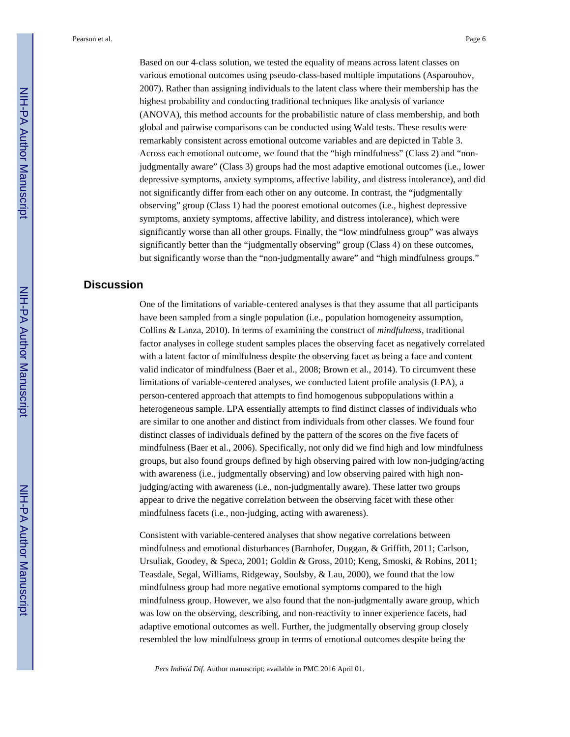Based on our 4-class solution, we tested the equality of means across latent classes on various emotional outcomes using pseudo-class-based multiple imputations (Asparouhov, 2007). Rather than assigning individuals to the latent class where their membership has the highest probability and conducting traditional techniques like analysis of variance (ANOVA), this method accounts for the probabilistic nature of class membership, and both global and pairwise comparisons can be conducted using Wald tests. These results were remarkably consistent across emotional outcome variables and are depicted in Table 3. Across each emotional outcome, we found that the "high mindfulness" (Class 2) and "nonjudgmentally aware" (Class 3) groups had the most adaptive emotional outcomes (i.e., lower depressive symptoms, anxiety symptoms, affective lability, and distress intolerance), and did not significantly differ from each other on any outcome. In contrast, the "judgmentally observing" group (Class 1) had the poorest emotional outcomes (i.e., highest depressive symptoms, anxiety symptoms, affective lability, and distress intolerance), which were significantly worse than all other groups. Finally, the "low mindfulness group" was always significantly better than the "judgmentally observing" group (Class 4) on these outcomes, but significantly worse than the "non-judgmentally aware" and "high mindfulness groups."

#### **Discussion**

One of the limitations of variable-centered analyses is that they assume that all participants have been sampled from a single population (i.e., population homogeneity assumption, Collins & Lanza, 2010). In terms of examining the construct of *mindfulness*, traditional factor analyses in college student samples places the observing facet as negatively correlated with a latent factor of mindfulness despite the observing facet as being a face and content valid indicator of mindfulness (Baer et al., 2008; Brown et al., 2014). To circumvent these limitations of variable-centered analyses, we conducted latent profile analysis (LPA), a person-centered approach that attempts to find homogenous subpopulations within a heterogeneous sample. LPA essentially attempts to find distinct classes of individuals who are similar to one another and distinct from individuals from other classes. We found four distinct classes of individuals defined by the pattern of the scores on the five facets of mindfulness (Baer et al., 2006). Specifically, not only did we find high and low mindfulness groups, but also found groups defined by high observing paired with low non-judging/acting with awareness (i.e., judgmentally observing) and low observing paired with high nonjudging/acting with awareness (i.e., non-judgmentally aware). These latter two groups appear to drive the negative correlation between the observing facet with these other mindfulness facets (i.e., non-judging, acting with awareness).

Consistent with variable-centered analyses that show negative correlations between mindfulness and emotional disturbances (Barnhofer, Duggan, & Griffith, 2011; Carlson, Ursuliak, Goodey, & Speca, 2001; Goldin & Gross, 2010; Keng, Smoski, & Robins, 2011; Teasdale, Segal, Williams, Ridgeway, Soulsby, & Lau, 2000), we found that the low mindfulness group had more negative emotional symptoms compared to the high mindfulness group. However, we also found that the non-judgmentally aware group, which was low on the observing, describing, and non-reactivity to inner experience facets, had adaptive emotional outcomes as well. Further, the judgmentally observing group closely resembled the low mindfulness group in terms of emotional outcomes despite being the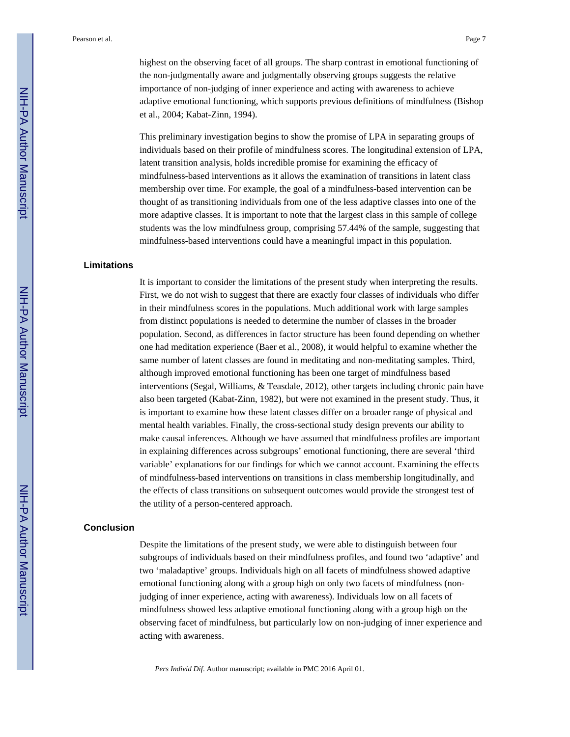highest on the observing facet of all groups. The sharp contrast in emotional functioning of the non-judgmentally aware and judgmentally observing groups suggests the relative importance of non-judging of inner experience and acting with awareness to achieve adaptive emotional functioning, which supports previous definitions of mindfulness (Bishop et al., 2004; Kabat-Zinn, 1994).

This preliminary investigation begins to show the promise of LPA in separating groups of individuals based on their profile of mindfulness scores. The longitudinal extension of LPA, latent transition analysis, holds incredible promise for examining the efficacy of mindfulness-based interventions as it allows the examination of transitions in latent class membership over time. For example, the goal of a mindfulness-based intervention can be thought of as transitioning individuals from one of the less adaptive classes into one of the more adaptive classes. It is important to note that the largest class in this sample of college students was the low mindfulness group, comprising 57.44% of the sample, suggesting that mindfulness-based interventions could have a meaningful impact in this population.

#### **Limitations**

It is important to consider the limitations of the present study when interpreting the results. First, we do not wish to suggest that there are exactly four classes of individuals who differ in their mindfulness scores in the populations. Much additional work with large samples from distinct populations is needed to determine the number of classes in the broader population. Second, as differences in factor structure has been found depending on whether one had meditation experience (Baer et al., 2008), it would helpful to examine whether the same number of latent classes are found in meditating and non-meditating samples. Third, although improved emotional functioning has been one target of mindfulness based interventions (Segal, Williams, & Teasdale, 2012), other targets including chronic pain have also been targeted (Kabat-Zinn, 1982), but were not examined in the present study. Thus, it is important to examine how these latent classes differ on a broader range of physical and mental health variables. Finally, the cross-sectional study design prevents our ability to make causal inferences. Although we have assumed that mindfulness profiles are important in explaining differences across subgroups' emotional functioning, there are several 'third variable' explanations for our findings for which we cannot account. Examining the effects of mindfulness-based interventions on transitions in class membership longitudinally, and the effects of class transitions on subsequent outcomes would provide the strongest test of the utility of a person-centered approach.

#### **Conclusion**

Despite the limitations of the present study, we were able to distinguish between four subgroups of individuals based on their mindfulness profiles, and found two 'adaptive' and two 'maladaptive' groups. Individuals high on all facets of mindfulness showed adaptive emotional functioning along with a group high on only two facets of mindfulness (nonjudging of inner experience, acting with awareness). Individuals low on all facets of mindfulness showed less adaptive emotional functioning along with a group high on the observing facet of mindfulness, but particularly low on non-judging of inner experience and acting with awareness.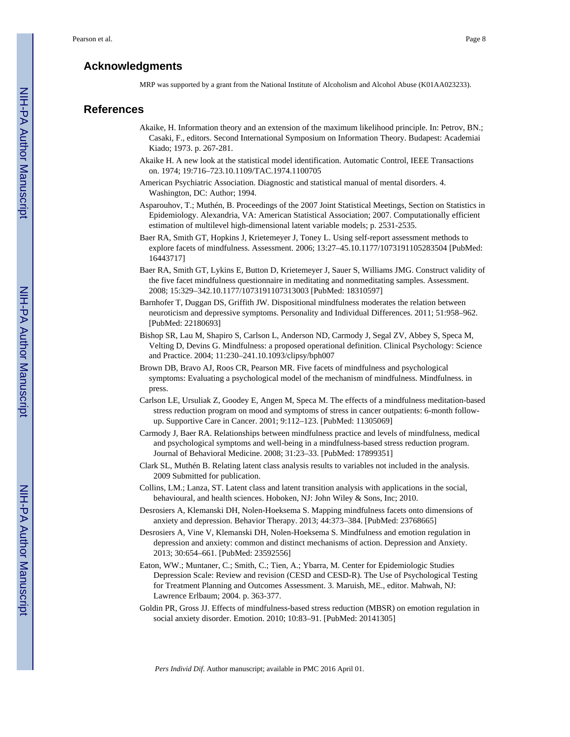#### **Acknowledgments**

MRP was supported by a grant from the National Institute of Alcoholism and Alcohol Abuse (K01AA023233).

#### **References**

- Akaike, H. Information theory and an extension of the maximum likelihood principle. In: Petrov, BN.; Casaki, F., editors. Second International Symposium on Information Theory. Budapest: Academiai Kiado; 1973. p. 267-281.
- Akaike H. A new look at the statistical model identification. Automatic Control, IEEE Transactions on. 1974; 19:716–723.10.1109/TAC.1974.1100705
- American Psychiatric Association. Diagnostic and statistical manual of mental disorders. 4. Washington, DC: Author; 1994.
- Asparouhov, T.; Muthén, B. Proceedings of the 2007 Joint Statistical Meetings, Section on Statistics in Epidemiology. Alexandria, VA: American Statistical Association; 2007. Computationally efficient estimation of multilevel high-dimensional latent variable models; p. 2531-2535.
- Baer RA, Smith GT, Hopkins J, Krietemeyer J, Toney L. Using self-report assessment methods to explore facets of mindfulness. Assessment. 2006; 13:27–45.10.1177/1073191105283504 [PubMed: 16443717]
- Baer RA, Smith GT, Lykins E, Button D, Krietemeyer J, Sauer S, Williams JMG. Construct validity of the five facet mindfulness questionnaire in meditating and nonmeditating samples. Assessment. 2008; 15:329–342.10.1177/1073191107313003 [PubMed: 18310597]
- Barnhofer T, Duggan DS, Griffith JW. Dispositional mindfulness moderates the relation between neuroticism and depressive symptoms. Personality and Individual Differences. 2011; 51:958–962. [PubMed: 22180693]
- Bishop SR, Lau M, Shapiro S, Carlson L, Anderson ND, Carmody J, Segal ZV, Abbey S, Speca M, Velting D, Devins G. Mindfulness: a proposed operational definition. Clinical Psychology: Science and Practice. 2004; 11:230–241.10.1093/clipsy/bph007
- Brown DB, Bravo AJ, Roos CR, Pearson MR. Five facets of mindfulness and psychological symptoms: Evaluating a psychological model of the mechanism of mindfulness. Mindfulness. in press.
- Carlson LE, Ursuliak Z, Goodey E, Angen M, Speca M. The effects of a mindfulness meditation-based stress reduction program on mood and symptoms of stress in cancer outpatients: 6-month followup. Supportive Care in Cancer. 2001; 9:112–123. [PubMed: 11305069]
- Carmody J, Baer RA. Relationships between mindfulness practice and levels of mindfulness, medical and psychological symptoms and well-being in a mindfulness-based stress reduction program. Journal of Behavioral Medicine. 2008; 31:23–33. [PubMed: 17899351]
- Clark SL, Muthén B. Relating latent class analysis results to variables not included in the analysis. 2009 Submitted for publication.
- Collins, LM.; Lanza, ST. Latent class and latent transition analysis with applications in the social, behavioural, and health sciences. Hoboken, NJ: John Wiley & Sons, Inc; 2010.
- Desrosiers A, Klemanski DH, Nolen-Hoeksema S. Mapping mindfulness facets onto dimensions of anxiety and depression. Behavior Therapy. 2013; 44:373–384. [PubMed: 23768665]
- Desrosiers A, Vine V, Klemanski DH, Nolen-Hoeksema S. Mindfulness and emotion regulation in depression and anxiety: common and distinct mechanisms of action. Depression and Anxiety. 2013; 30:654–661. [PubMed: 23592556]
- Eaton, WW.; Muntaner, C.; Smith, C.; Tien, A.; Ybarra, M. Center for Epidemiologic Studies Depression Scale: Review and revision (CESD and CESD-R). The Use of Psychological Testing for Treatment Planning and Outcomes Assessment. 3. Maruish, ME., editor. Mahwah, NJ: Lawrence Erlbaum; 2004. p. 363-377.
- Goldin PR, Gross JJ. Effects of mindfulness-based stress reduction (MBSR) on emotion regulation in social anxiety disorder. Emotion. 2010; 10:83–91. [PubMed: 20141305]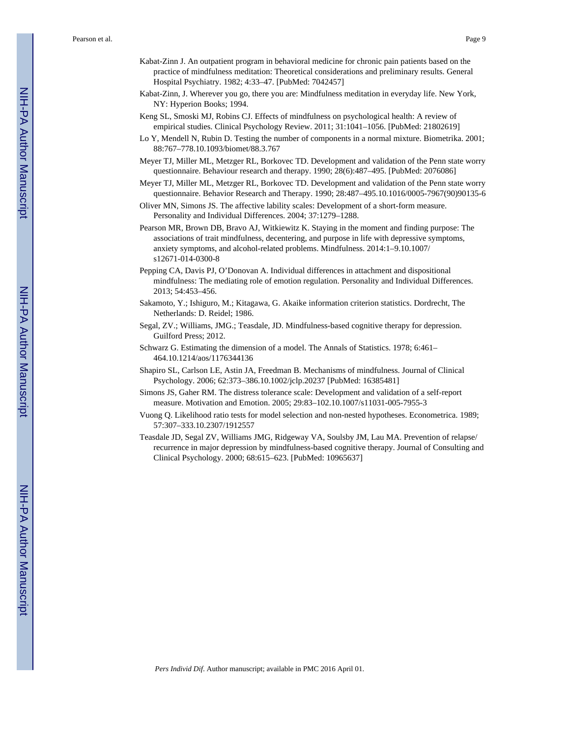- Kabat-Zinn J. An outpatient program in behavioral medicine for chronic pain patients based on the practice of mindfulness meditation: Theoretical considerations and preliminary results. General Hospital Psychiatry. 1982; 4:33–47. [PubMed: 7042457]
- Kabat-Zinn, J. Wherever you go, there you are: Mindfulness meditation in everyday life. New York, NY: Hyperion Books; 1994.
- Keng SL, Smoski MJ, Robins CJ. Effects of mindfulness on psychological health: A review of empirical studies. Clinical Psychology Review. 2011; 31:1041–1056. [PubMed: 21802619]
- Lo Y, Mendell N, Rubin D. Testing the number of components in a normal mixture. Biometrika. 2001; 88:767–778.10.1093/biomet/88.3.767
- Meyer TJ, Miller ML, Metzger RL, Borkovec TD. Development and validation of the Penn state worry questionnaire. Behaviour research and therapy. 1990; 28(6):487–495. [PubMed: 2076086]
- Meyer TJ, Miller ML, Metzger RL, Borkovec TD. Development and validation of the Penn state worry questionnaire. Behavior Research and Therapy. 1990; 28:487–495.10.1016/0005-7967(90)90135-6
- Oliver MN, Simons JS. The affective lability scales: Development of a short-form measure. Personality and Individual Differences. 2004; 37:1279–1288.
- Pearson MR, Brown DB, Bravo AJ, Witkiewitz K. Staying in the moment and finding purpose: The associations of trait mindfulness, decentering, and purpose in life with depressive symptoms, anxiety symptoms, and alcohol-related problems. Mindfulness. 2014:1–9.10.1007/ s12671-014-0300-8
- Pepping CA, Davis PJ, O'Donovan A. Individual differences in attachment and dispositional mindfulness: The mediating role of emotion regulation. Personality and Individual Differences. 2013; 54:453–456.
- Sakamoto, Y.; Ishiguro, M.; Kitagawa, G. Akaike information criterion statistics. Dordrecht, The Netherlands: D. Reidel; 1986.
- Segal, ZV.; Williams, JMG.; Teasdale, JD. Mindfulness-based cognitive therapy for depression. Guilford Press; 2012.
- Schwarz G. Estimating the dimension of a model. The Annals of Statistics. 1978; 6:461– 464.10.1214/aos/1176344136
- Shapiro SL, Carlson LE, Astin JA, Freedman B. Mechanisms of mindfulness. Journal of Clinical Psychology. 2006; 62:373–386.10.1002/jclp.20237 [PubMed: 16385481]
- Simons JS, Gaher RM. The distress tolerance scale: Development and validation of a self-report measure. Motivation and Emotion. 2005; 29:83–102.10.1007/s11031-005-7955-3
- Vuong Q. Likelihood ratio tests for model selection and non-nested hypotheses. Econometrica. 1989; 57:307–333.10.2307/1912557
- Teasdale JD, Segal ZV, Williams JMG, Ridgeway VA, Soulsby JM, Lau MA. Prevention of relapse/ recurrence in major depression by mindfulness-based cognitive therapy. Journal of Consulting and Clinical Psychology. 2000; 68:615–623. [PubMed: 10965637]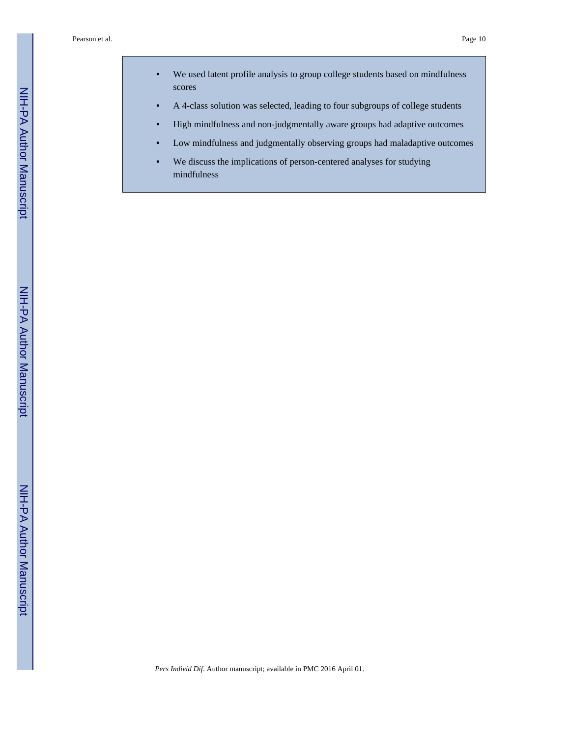- **•** We used latent profile analysis to group college students based on mindfulness scores
- **•** A 4-class solution was selected, leading to four subgroups of college students
- **•** High mindfulness and non-judgmentally aware groups had adaptive outcomes
- **•** Low mindfulness and judgmentally observing groups had maladaptive outcomes
- **•** We discuss the implications of person-centered analyses for studying mindfulness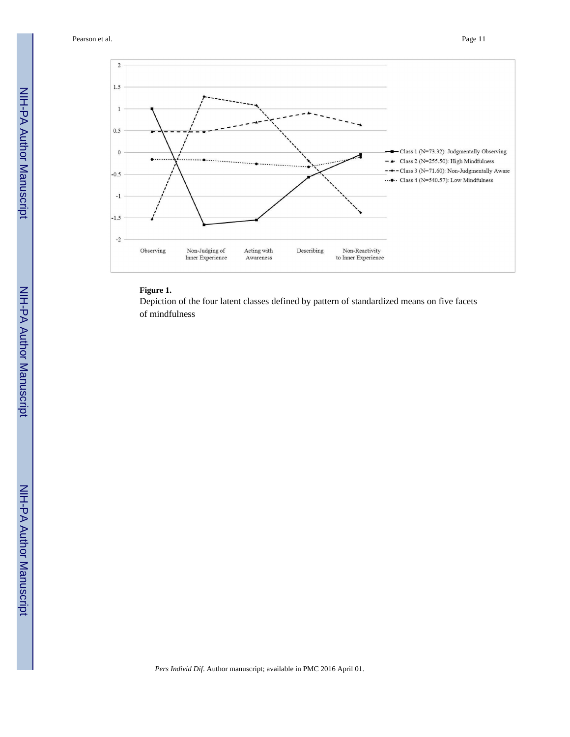

#### **Figure 1.**

Depiction of the four latent classes defined by pattern of standardized means on five facets of mindfulness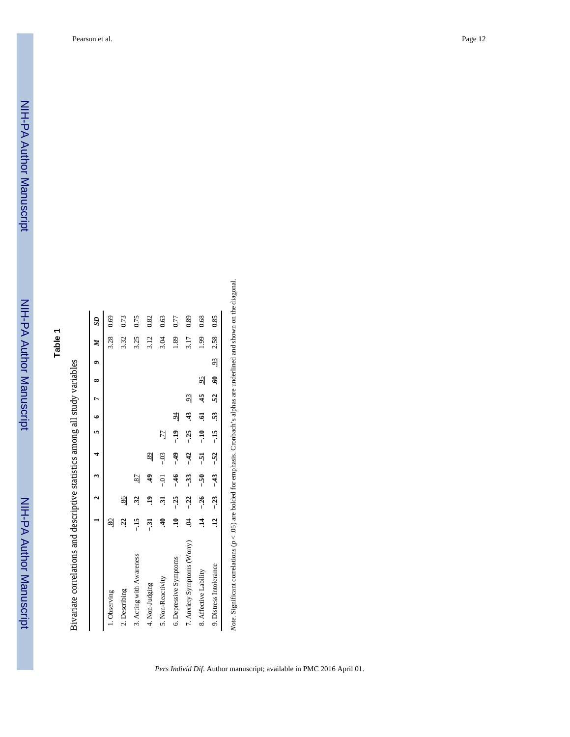| í<br>į                                                               |
|----------------------------------------------------------------------|
|                                                                      |
| right come and descriptive statistics among all study variables<br>֕ |
| <br>i                                                                |
|                                                                      |

|                             |                 | $\mathbf{c}$   | $\ddot{\phantom{1}}$ | $\overline{a}$ |                | $5\quad 6\quad 7$ |                | œ               | $\bullet$      | $\boldsymbol{M}$ | $\mathbf{S}$ |
|-----------------------------|-----------------|----------------|----------------------|----------------|----------------|-------------------|----------------|-----------------|----------------|------------------|--------------|
| 1. Observing                | $\frac{80}{2}$  |                |                      |                |                |                   |                |                 |                | 3.28             | 0.69         |
| 2. Describing               | 22              | $\frac{86}{2}$ |                      |                |                |                   |                |                 |                | 3.32             | 0.73         |
| 3. Acting with Awareness    | $-15$           | $\ddot{3}$     | $\overline{2}$       |                |                |                   |                |                 |                | 3.25             | 0.75         |
| 4. Non-Judging              | $\frac{51}{2}$  | ą              | ३                    | $\frac{89}{2}$ |                |                   |                |                 |                | 3.12             | 0.82         |
| 5. Non-Reactivity           | ą               | ಸ              | $-0$                 | $-03$          | $\overline{L}$ |                   |                |                 |                | 3.04             | 0.63         |
| 6. Depressive Symptoms      | $\Xi$           | $-25$          | $-46$                | $-49$          | $-19$          | $\frac{5}{4}$     |                |                 |                | 1.89             | 0.77         |
| 7. Anxiety Symptoms (Worry) | S.              | $-22$          | $-33$                | $-42$          | $-25$          | स्                | $\overline{5}$ |                 |                | 3.17             | 0.89         |
| 8. Affective Lability       | $\vec{a}$       | $-26$          | -.50                 | -51            | $-10$          | ē                 | 45             | $\overline{56}$ |                | 1.99             | 0.68         |
| 9. Distress Intolerance     | $\overline{12}$ | $-23$          | $-43$                | $-52$          | $-15$          | 53                | 52             | Ŝ               | $\frac{93}{2}$ | 2.58             | 0.85         |

Note. Significant correlations  $(p < .05)$  are bolded for emphasis. Cronbach's alphas are underlined and shown on the diagonal. *Note*. Significant correlations (*p* < .05) are bolded for emphasis. Cronbach's alphas are underlined and shown on the diagonal.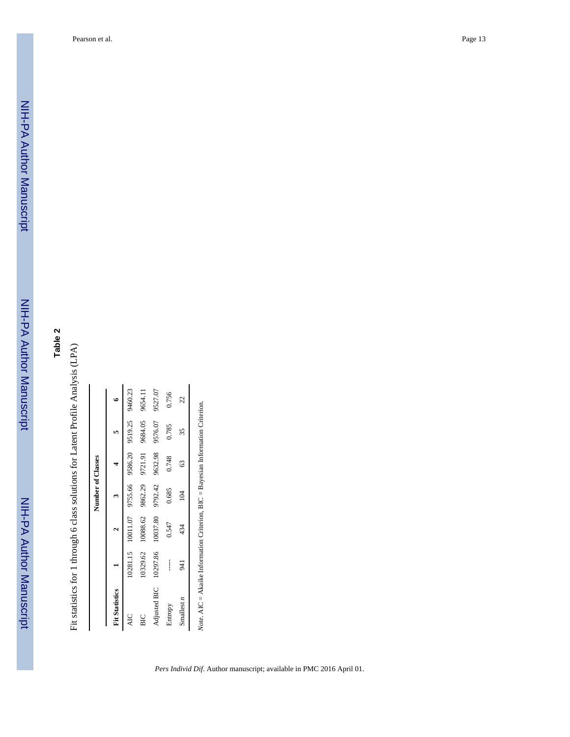# **Table 2**

Fit statistics for 1 through 6 class solutions for Latent Profile Analysis (LPA) Fit statistics for 1 through 6 class solutions for Latent Profile Analysis (LPA)

| Fit Statistics           |          | 10011.07 10281.15 |         | 9755.66 9586.20 9519.25 |         |         |
|--------------------------|----------|-------------------|---------|-------------------------|---------|---------|
|                          |          |                   |         |                         |         |         |
| ÁC                       |          |                   |         |                         |         | 9460.23 |
| BIC                      | 10329.62 | 10088.62          | 9862.29 | 9721.91                 | 9684.05 | 9654.11 |
| 10297.86<br>Adjusted BIC |          | 10037.80          | 9792.42 | 9632.98                 | 9576.07 | 9527.07 |
| Entropy                  |          | 0.547             | 0.685   | 0.748                   | 0.785   | 0.756   |
| 941<br>Smallest n        |          | 434               | 104     | 63                      | 35      | 22      |

Note. AIC = Akaike Information Criterion, BIC = Bayesian Information Criterion. *Note*. AIC = Akaike Information Criterion, BIC = Bayesian Information Criterion.